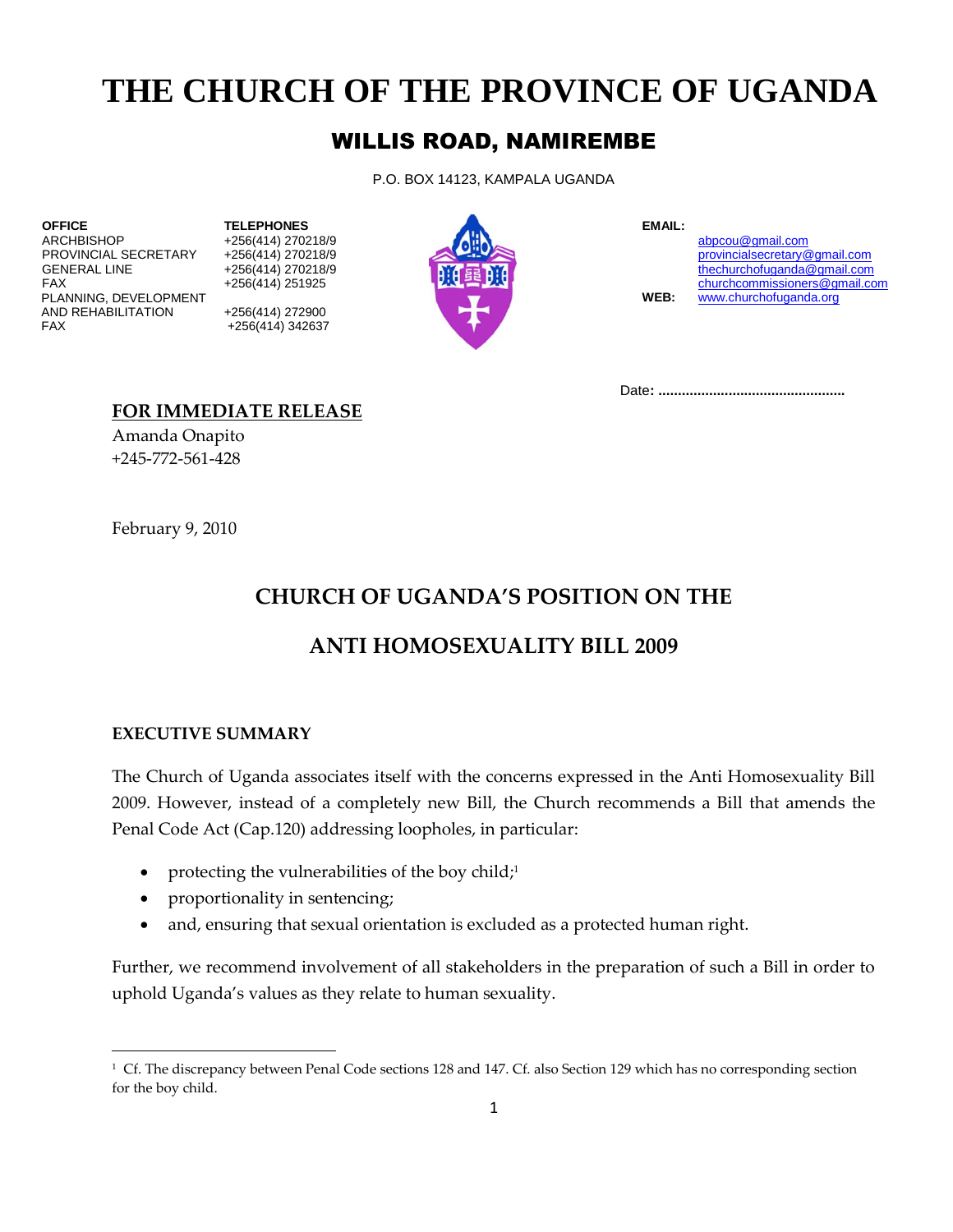# **THE CHURCH OF THE PROVINCE OF UGANDA**

## WILLIS ROAD, NAMIREMBE

P.O. BOX 14123, KAMPALA UGANDA

ARCHBISHOP +256(414) 270218/9 +256(414) 270218/9 [abpcou@gmail.com](mailto:abpcou@gmail.com)<br>
PROVINCIAL SECRETARY +256(414) 270218/9 provincialsecretary exponential secretary exponential secretary exponential secretary exponential secretary exponen PLANNING, DEVELOPMENT **WEB:** [www.churchofuganda.org](http://www.churchofuganda.org/) AND REHABILITATION +256(414) 272900 FAX +256(414) 342637



provincial secretary@gmail.com GENERAL LINE +256(414) 270218/9<br>FAX [thechurchofuganda@gmail.com](mailto:thechurchofuganda@gmail.com)<br>FAX churchcommissioners@gmail.com FAX +256(414) 251925 +256(414) 251925 +256(414) 251925 +256(414) 251925 +256(414) 251925 +  $\frac{v}{2}$  +256(414) 251925 +  $\frac{v}{2}$  +  $\frac{v}{2}$  +  $\frac{v}{2}$  +  $\frac{v}{2}$  +  $\frac{v}{2}$  +  $\frac{v}{2}$  +  $\frac{v}{2}$  +  $\frac{v}{2}$  +  $\frac{v}{$ 

Date**: ................................................**

## **FOR IMMEDIATE RELEASE**

Amanda Onapito +245-772-561-428

February 9, 2010

# **CHURCH OF UGANDA'S POSITION ON THE**

## **ANTI HOMOSEXUALITY BILL 2009**

#### **EXECUTIVE SUMMARY**

 $\overline{\phantom{a}}$ 

The Church of Uganda associates itself with the concerns expressed in the Anti Homosexuality Bill 2009. However, instead of a completely new Bill, the Church recommends a Bill that amends the Penal Code Act (Cap.120) addressing loopholes, in particular:

- protecting the vulnerabilities of the boy child;<sup>1</sup>
- proportionality in sentencing;
- and, ensuring that sexual orientation is excluded as a protected human right.

Further, we recommend involvement of all stakeholders in the preparation of such a Bill in order to uphold Uganda's values as they relate to human sexuality.

<sup>1</sup> Cf. The discrepancy between Penal Code sections 128 and 147. Cf. also Section 129 which has no corresponding section for the boy child.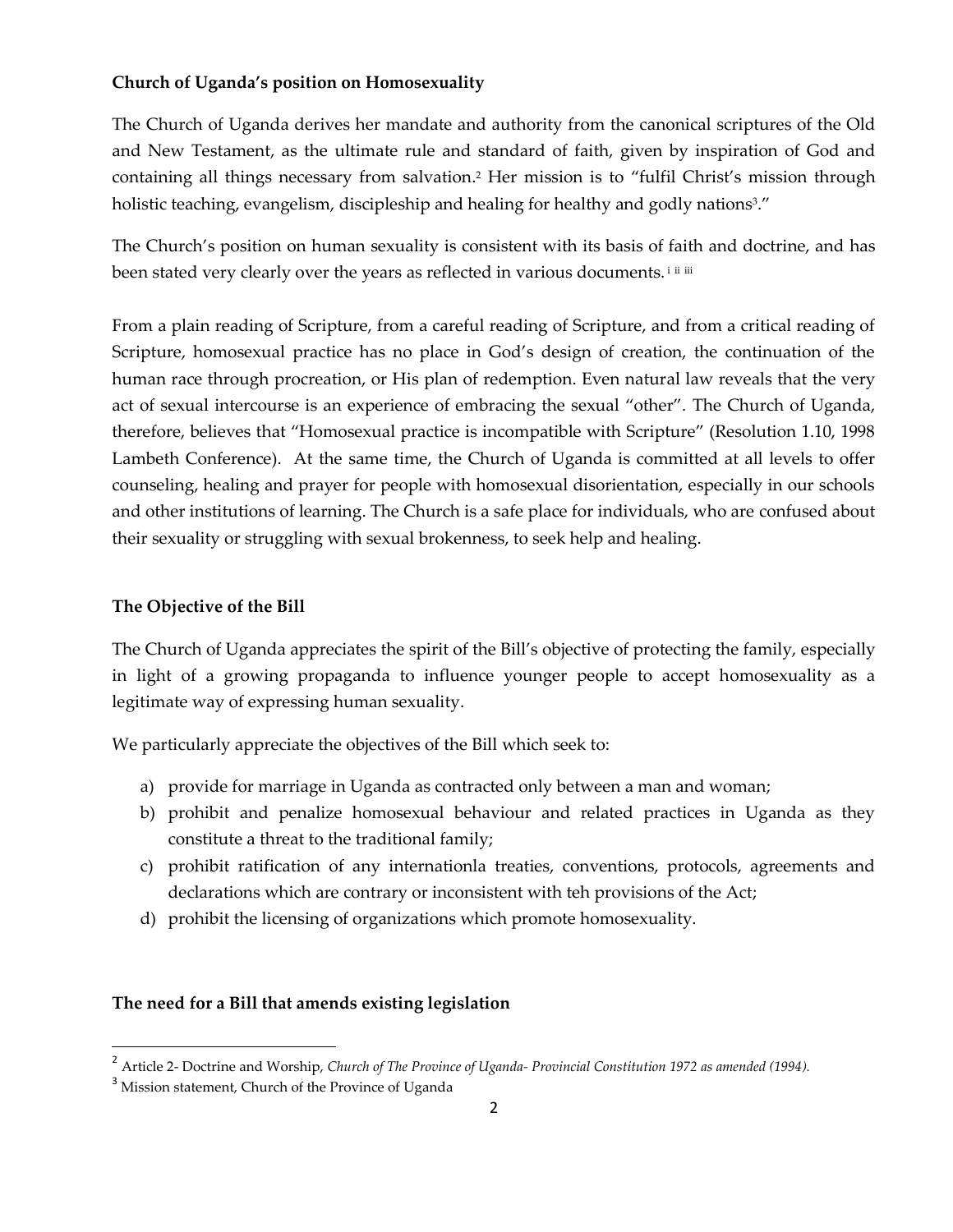#### **Church of Uganda's position on Homosexuality**

The Church of Uganda derives her mandate and authority from the canonical scriptures of the Old and New Testament, as the ultimate rule and standard of faith, given by inspiration of God and containing all things necessary from salvation. <sup>2</sup> Her mission is to "fulfil Christ's mission through holistic teaching, evangelism, discipleship and healing for healthy and godly nations<sup>3</sup>."

The Church's position on human sexuality is consistent with its basis of faith and doctrine, and has been stated very clearly over the years as reflected in various documents.<sup>iiiii</sup>

From a plain reading of Scripture, from a careful reading of Scripture, and from a critical reading of Scripture, homosexual practice has no place in God's design of creation, the continuation of the human race through procreation, or His plan of redemption. Even natural law reveals that the very act of sexual intercourse is an experience of embracing the sexual "other". The Church of Uganda, therefore, believes that "Homosexual practice is incompatible with Scripture" (Resolution 1.10, 1998 Lambeth Conference). At the same time, the Church of Uganda is committed at all levels to offer counseling, healing and prayer for people with homosexual disorientation, especially in our schools and other institutions of learning. The Church is a safe place for individuals, who are confused about their sexuality or struggling with sexual brokenness, to seek help and healing.

#### **The Objective of the Bill**

The Church of Uganda appreciates the spirit of the Bill's objective of protecting the family, especially in light of a growing propaganda to influence younger people to accept homosexuality as a legitimate way of expressing human sexuality.

We particularly appreciate the objectives of the Bill which seek to:

- a) provide for marriage in Uganda as contracted only between a man and woman;
- b) prohibit and penalize homosexual behaviour and related practices in Uganda as they constitute a threat to the traditional family;
- c) prohibit ratification of any internationla treaties, conventions, protocols, agreements and declarations which are contrary or inconsistent with teh provisions of the Act;
- d) prohibit the licensing of organizations which promote homosexuality.

#### **The need for a Bill that amends existing legislation**

 $\overline{\phantom{a}}$ 

<sup>2</sup> Article 2- Doctrine and Worship, *Church of The Province of Uganda- Provincial Constitution 1972 as amended (1994).*

<sup>&</sup>lt;sup>3</sup> Mission statement, Church of the Province of Uganda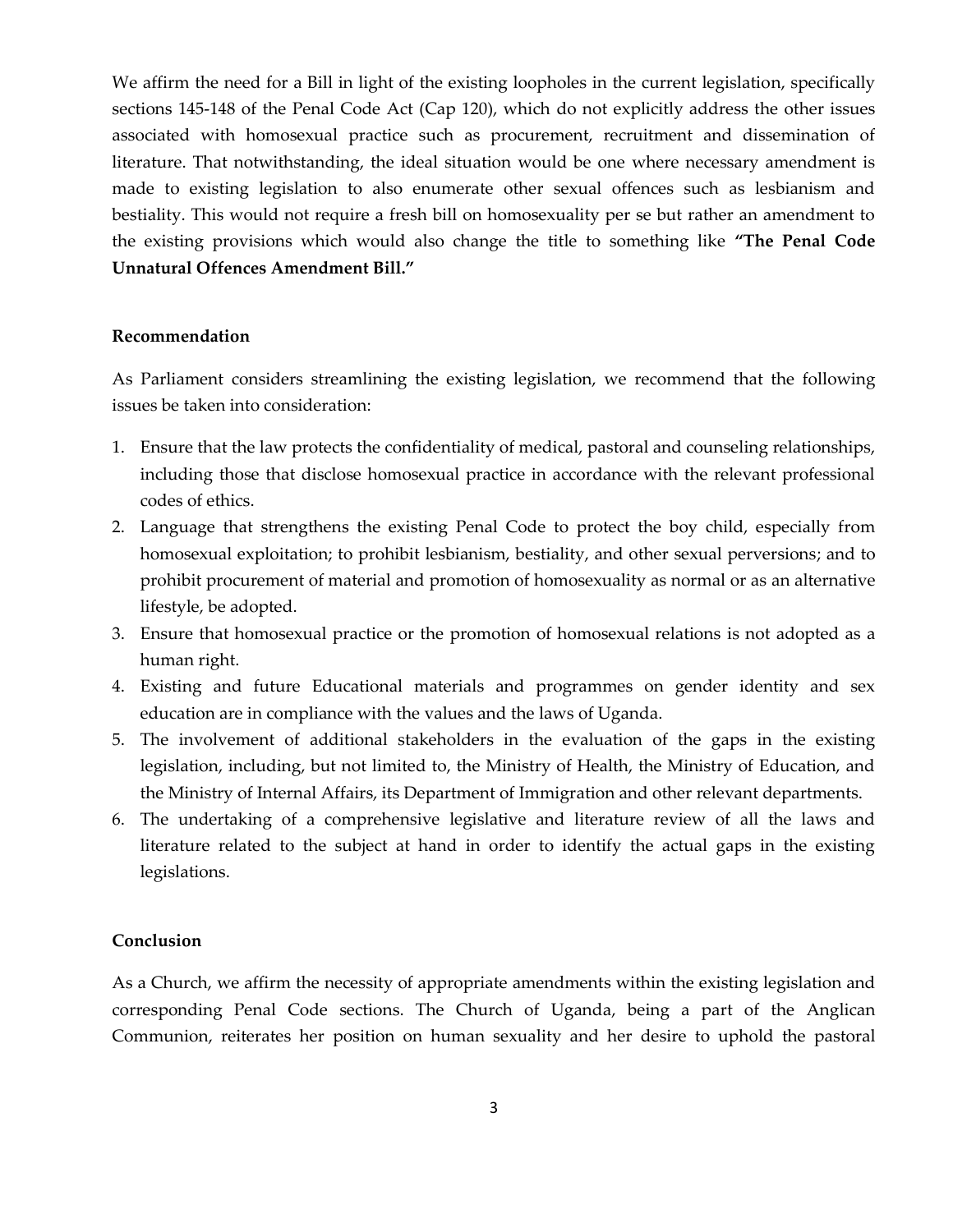We affirm the need for a Bill in light of the existing loopholes in the current legislation, specifically sections 145-148 of the Penal Code Act (Cap 120), which do not explicitly address the other issues associated with homosexual practice such as procurement, recruitment and dissemination of literature. That notwithstanding, the ideal situation would be one where necessary amendment is made to existing legislation to also enumerate other sexual offences such as lesbianism and bestiality. This would not require a fresh bill on homosexuality per se but rather an amendment to the existing provisions which would also change the title to something like **"The Penal Code Unnatural Offences Amendment Bill."**

#### **Recommendation**

As Parliament considers streamlining the existing legislation, we recommend that the following issues be taken into consideration:

- 1. Ensure that the law protects the confidentiality of medical, pastoral and counseling relationships, including those that disclose homosexual practice in accordance with the relevant professional codes of ethics.
- 2. Language that strengthens the existing Penal Code to protect the boy child, especially from homosexual exploitation; to prohibit lesbianism, bestiality, and other sexual perversions; and to prohibit procurement of material and promotion of homosexuality as normal or as an alternative lifestyle, be adopted.
- 3. Ensure that homosexual practice or the promotion of homosexual relations is not adopted as a human right.
- 4. Existing and future Educational materials and programmes on gender identity and sex education are in compliance with the values and the laws of Uganda.
- 5. The involvement of additional stakeholders in the evaluation of the gaps in the existing legislation, including, but not limited to, the Ministry of Health, the Ministry of Education, and the Ministry of Internal Affairs, its Department of Immigration and other relevant departments.
- 6. The undertaking of a comprehensive legislative and literature review of all the laws and literature related to the subject at hand in order to identify the actual gaps in the existing legislations.

#### **Conclusion**

As a Church, we affirm the necessity of appropriate amendments within the existing legislation and corresponding Penal Code sections. The Church of Uganda, being a part of the Anglican Communion, reiterates her position on human sexuality and her desire to uphold the pastoral